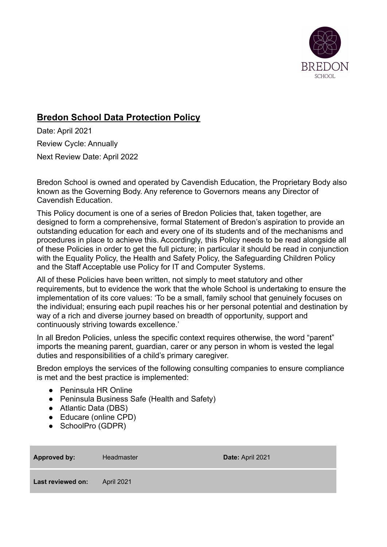

# **Bredon School Data Protection Policy**

Date: April 2021 Review Cycle: Annually Next Review Date: April 2022

Bredon School is owned and operated by Cavendish Education, the Proprietary Body also known as the Governing Body. Any reference to Governors means any Director of Cavendish Education.

This Policy document is one of a series of Bredon Policies that, taken together, are designed to form a comprehensive, formal Statement of Bredon's aspiration to provide an outstanding education for each and every one of its students and of the mechanisms and procedures in place to achieve this. Accordingly, this Policy needs to be read alongside all of these Policies in order to get the full picture; in particular it should be read in conjunction with the Equality Policy, the Health and Safety Policy, the Safeguarding Children Policy and the Staff Acceptable use Policy for IT and Computer Systems.

All of these Policies have been written, not simply to meet statutory and other requirements, but to evidence the work that the whole School is undertaking to ensure the implementation of its core values: 'To be a small, family school that genuinely focuses on the individual; ensuring each pupil reaches his or her personal potential and destination by way of a rich and diverse journey based on breadth of opportunity, support and continuously striving towards excellence.'

In all Bredon Policies, unless the specific context requires otherwise, the word "parent" imports the meaning parent, guardian, carer or any person in whom is vested the legal duties and responsibilities of a child's primary caregiver.

Bredon employs the services of the following consulting companies to ensure compliance is met and the best practice is implemented:

- Peninsula HR Online
- Peninsula Business Safe (Health and Safety)
- Atlantic Data (DBS)
- Educare (online CPD)
- SchoolPro (GDPR)

| <b>Approved by:</b> | Headmaster | Date: April 2021 |
|---------------------|------------|------------------|
| Last reviewed on:   | April 2021 |                  |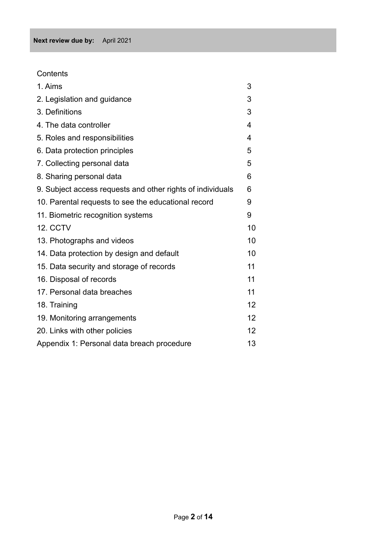**Contents** 

| 1. Aims                                                    | 3                 |
|------------------------------------------------------------|-------------------|
| 2. Legislation and guidance                                | 3                 |
| 3. Definitions                                             | 3                 |
| 4. The data controller                                     | 4                 |
| 5. Roles and responsibilities                              | 4                 |
| 6. Data protection principles                              | 5                 |
| 7. Collecting personal data                                | 5                 |
| 8. Sharing personal data                                   | 6                 |
| 9. Subject access requests and other rights of individuals | 6                 |
| 10. Parental requests to see the educational record        | 9                 |
| 11. Biometric recognition systems                          | 9                 |
| 12. CCTV                                                   | 10                |
| 13. Photographs and videos                                 | 10                |
| 14. Data protection by design and default                  | 10                |
| 15. Data security and storage of records                   | 11                |
| 16. Disposal of records                                    | 11                |
| 17. Personal data breaches                                 | 11                |
| 18. Training                                               | 12                |
| 19. Monitoring arrangements                                | $12 \overline{ }$ |
| 20. Links with other policies                              | $12 \overline{ }$ |
| Appendix 1: Personal data breach procedure                 | 13                |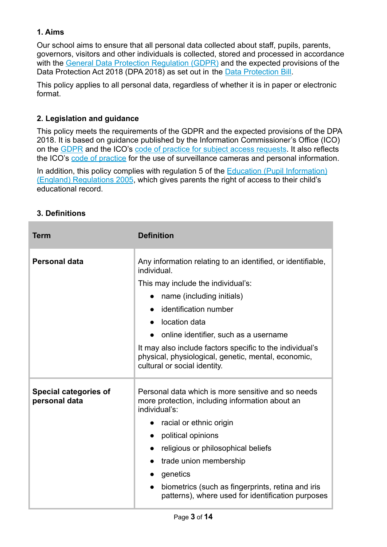# **1. Aims**

Our school aims to ensure that all personal data collected about staff, pupils, parents, governors, visitors and other individuals is collected, stored and processed in accordance with the [General Data Protection Regulation \(GDPR\)](http://data.consilium.europa.eu/doc/document/ST-5419-2016-INIT/en/pdf) and the expected provisions of the Data Protection Act 2018 (DPA 2018) as set out in the [Data Protection Bill.](https://publications.parliament.uk/pa/bills/cbill/2017-2019/0153/18153.pdf)

This policy applies to all personal data, regardless of whether it is in paper or electronic format.

# **2. Legislation and guidance**

This policy meets the requirements of the GDPR and the expected provisions of the DPA 2018. It is based on guidance published by the Information Commissioner's Office (ICO) on the [GDPR](https://ico.org.uk/for-organisations/guide-to-the-general-data-protection-regulation-gdpr/) and the ICO's [code of practice for subject](https://ico.org.uk/media/for-organisations/documents/2014223/subject-access-code-of-practice.pdf) access requests. It also reflects the ICO's [code of practice](https://ico.org.uk/media/for-organisations/documents/1542/cctv-code-of-practice.pdf) for the use of surveillance cameras and personal information.

In addition, this policy complies with regulation 5 of the [Education \(Pupil Information\)](http://www.legislation.gov.uk/uksi/2005/1437/regulation/5/made) [\(England\) Regulations 2005](http://www.legislation.gov.uk/uksi/2005/1437/regulation/5/made), which gives parents the right of access to their child's educational record.

| <b>3. Definitions</b> |  |
|-----------------------|--|
|-----------------------|--|

| <b>Term</b>                                   | <b>Definition</b>                                                                                                                               |  |
|-----------------------------------------------|-------------------------------------------------------------------------------------------------------------------------------------------------|--|
| <b>Personal data</b>                          | Any information relating to an identified, or identifiable,<br>individual.                                                                      |  |
|                                               | This may include the individual's:                                                                                                              |  |
|                                               | name (including initials)<br>$\bullet$                                                                                                          |  |
|                                               | identification number<br>$\bullet$                                                                                                              |  |
|                                               | location data<br>$\bullet$                                                                                                                      |  |
|                                               | online identifier, such as a username                                                                                                           |  |
|                                               | It may also include factors specific to the individual's<br>physical, physiological, genetic, mental, economic,<br>cultural or social identity. |  |
| <b>Special categories of</b><br>personal data | Personal data which is more sensitive and so needs<br>more protection, including information about an<br>individual's:                          |  |
|                                               | racial or ethnic origin<br>$\bullet$                                                                                                            |  |
|                                               | political opinions<br>$\bullet$                                                                                                                 |  |
|                                               | religious or philosophical beliefs<br>$\bullet$                                                                                                 |  |
|                                               | trade union membership<br>$\bullet$                                                                                                             |  |
|                                               | genetics<br>$\bullet$                                                                                                                           |  |
|                                               | biometrics (such as fingerprints, retina and iris<br>$\bullet$<br>patterns), where used for identification purposes                             |  |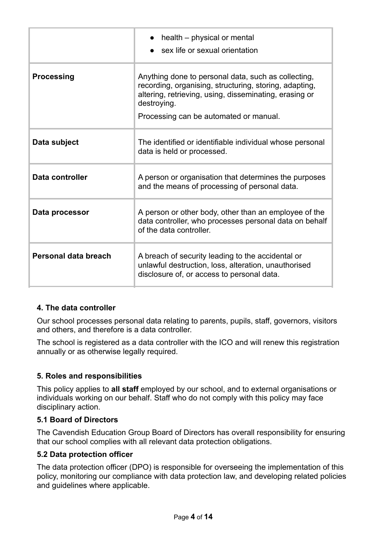|                      | health - physical or mental<br>sex life or sexual orientation                                                                                                                                                                    |
|----------------------|----------------------------------------------------------------------------------------------------------------------------------------------------------------------------------------------------------------------------------|
| <b>Processing</b>    | Anything done to personal data, such as collecting,<br>recording, organising, structuring, storing, adapting,<br>altering, retrieving, using, disseminating, erasing or<br>destroying.<br>Processing can be automated or manual. |
| Data subject         | The identified or identifiable individual whose personal<br>data is held or processed.                                                                                                                                           |
| Data controller      | A person or organisation that determines the purposes<br>and the means of processing of personal data.                                                                                                                           |
| Data processor       | A person or other body, other than an employee of the<br>data controller, who processes personal data on behalf<br>of the data controller.                                                                                       |
| Personal data breach | A breach of security leading to the accidental or<br>unlawful destruction, loss, alteration, unauthorised<br>disclosure of, or access to personal data.                                                                          |

### **4. The data controller**

Our school processes personal data relating to parents, pupils, staff, governors, visitors and others, and therefore is a data controller.

The school is registered as a data controller with the ICO and will renew this registration annually or as otherwise legally required.

### **5. Roles and responsibilities**

This policy applies to **all staff** employed by our school, and to external organisations or individuals working on our behalf. Staff who do not comply with this policy may face disciplinary action.

### **5.1 Board of Directors**

The Cavendish Education Group Board of Directors has overall responsibility for ensuring that our school complies with all relevant data protection obligations.

### **5.2 Data protection officer**

The data protection officer (DPO) is responsible for overseeing the implementation of this policy, monitoring our compliance with data protection law, and developing related policies and guidelines where applicable.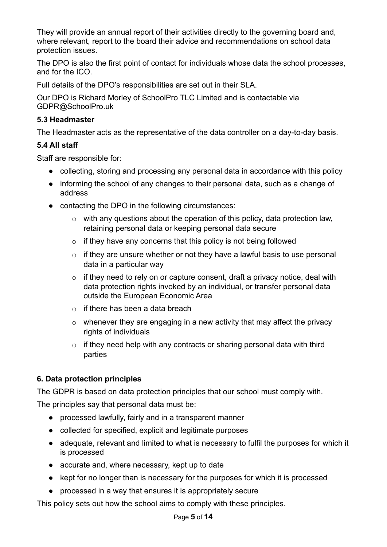They will provide an annual report of their activities directly to the governing board and, where relevant, report to the board their advice and recommendations on school data protection issues.

The DPO is also the first point of contact for individuals whose data the school processes, and for the ICO.

Full details of the DPO's responsibilities are set out in their SLA.

Our DPO is Richard Morley of SchoolPro TLC Limited and is contactable via GDPR@SchoolPro.uk

# **5.3 Headmaster**

The Headmaster acts as the representative of the data controller on a day-to-day basis.

# **5.4 All staff**

Staff are responsible for:

- collecting, storing and processing any personal data in accordance with this policy
- informing the school of any changes to their personal data, such as a change of address
- contacting the DPO in the following circumstances:
	- $\circ$  with any questions about the operation of this policy, data protection law. retaining personal data or keeping personal data secure
	- $\circ$  if they have any concerns that this policy is not being followed
	- $\circ$  if they are unsure whether or not they have a lawful basis to use personal data in a particular way
	- $\circ$  if they need to rely on or capture consent, draft a privacy notice, deal with data protection rights invoked by an individual, or transfer personal data outside the European Economic Area
	- $\circ$  if there has been a data breach
	- $\circ$  whenever they are engaging in a new activity that may affect the privacy rights of individuals
	- $\circ$  if they need help with any contracts or sharing personal data with third parties

# **6. Data protection principles**

The GDPR is based on data protection principles that our school must comply with.

The principles say that personal data must be:

- processed lawfully, fairly and in a transparent manner
- collected for specified, explicit and legitimate purposes
- adequate, relevant and limited to what is necessary to fulfil the purposes for which it is processed
- accurate and, where necessary, kept up to date
- kept for no longer than is necessary for the purposes for which it is processed
- processed in a way that ensures it is appropriately secure

This policy sets out how the school aims to comply with these principles.

#### Page **5** of **14**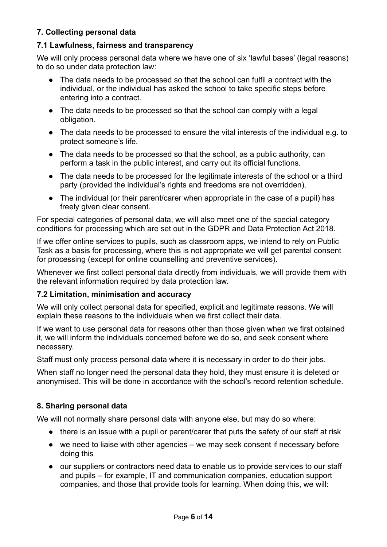# **7. Collecting personal data**

#### **7.1 Lawfulness, fairness and transparency**

We will only process personal data where we have one of six 'lawful bases' (legal reasons) to do so under data protection law:

- The data needs to be processed so that the school can fulfil a contract with the individual, or the individual has asked the school to take specific steps before entering into a contract.
- The data needs to be processed so that the school can comply with a legal obligation.
- The data needs to be processed to ensure the vital interests of the individual e.g. to protect someone's life.
- The data needs to be processed so that the school, as a public authority, can perform a task in the public interest, and carry out its official functions.
- The data needs to be processed for the legitimate interests of the school or a third party (provided the individual's rights and freedoms are not overridden).
- The individual (or their parent/carer when appropriate in the case of a pupil) has freely given clear consent.

For special categories of personal data, we will also meet one of the special category conditions for processing which are set out in the GDPR and Data Protection Act 2018.

If we offer online services to pupils, such as classroom apps, we intend to rely on Public Task as a basis for processing, where this is not appropriate we will get parental consent for processing (except for online counselling and preventive services).

Whenever we first collect personal data directly from individuals, we will provide them with the relevant information required by data protection law.

#### **7.2 Limitation, minimisation and accuracy**

We will only collect personal data for specified, explicit and legitimate reasons. We will explain these reasons to the individuals when we first collect their data.

If we want to use personal data for reasons other than those given when we first obtained it, we will inform the individuals concerned before we do so, and seek consent where necessary.

Staff must only process personal data where it is necessary in order to do their jobs.

When staff no longer need the personal data they hold, they must ensure it is deleted or anonymised. This will be done in accordance with the school's record retention schedule.

### **8. Sharing personal data**

We will not normally share personal data with anyone else, but may do so where:

- there is an issue with a pupil or parent/carer that puts the safety of our staff at risk
- we need to liaise with other agencies we may seek consent if necessary before doing this
- our suppliers or contractors need data to enable us to provide services to our staff and pupils – for example, IT and communication companies, education support companies, and those that provide tools for learning. When doing this, we will: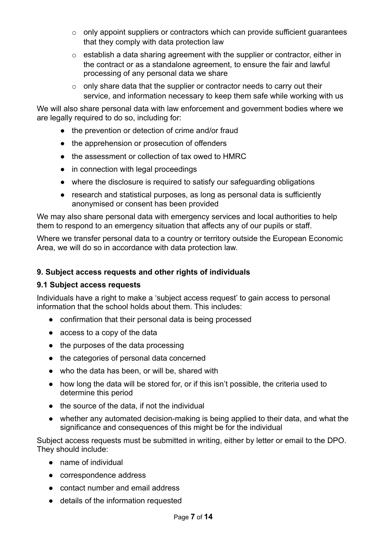- $\circ$  only appoint suppliers or contractors which can provide sufficient quarantees that they comply with data protection law
- o establish a data sharing agreement with the supplier or contractor, either in the contract or as a standalone agreement, to ensure the fair and lawful processing of any personal data we share
- $\circ$  only share data that the supplier or contractor needs to carry out their service, and information necessary to keep them safe while working with us

We will also share personal data with law enforcement and government bodies where we are legally required to do so, including for:

- the prevention or detection of crime and/or fraud
- the apprehension or prosecution of offenders
- the assessment or collection of tax owed to HMRC
- in connection with legal proceedings
- where the disclosure is required to satisfy our safeguarding obligations
- research and statistical purposes, as long as personal data is sufficiently anonymised or consent has been provided

We may also share personal data with emergency services and local authorities to help them to respond to an emergency situation that affects any of our pupils or staff.

Where we transfer personal data to a country or territory outside the European Economic Area, we will do so in accordance with data protection law.

# **9. Subject access requests and other rights of individuals**

### **9.1 Subject access requests**

Individuals have a right to make a 'subject access request' to gain access to personal information that the school holds about them. This includes:

- confirmation that their personal data is being processed
- access to a copy of the data
- the purposes of the data processing
- the categories of personal data concerned
- who the data has been, or will be, shared with
- how long the data will be stored for, or if this isn't possible, the criteria used to determine this period
- the source of the data, if not the individual
- whether any automated decision-making is being applied to their data, and what the significance and consequences of this might be for the individual

Subject access requests must be submitted in writing, either by letter or email to the DPO. They should include:

- name of individual
- correspondence address
- contact number and email address
- details of the information requested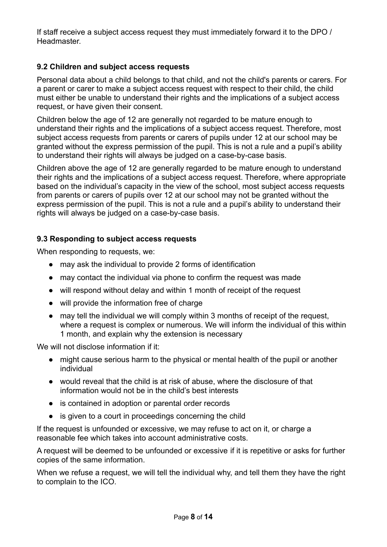If staff receive a subject access request they must immediately forward it to the DPO / **Headmaster** 

# **9.2 Children and subject access requests**

Personal data about a child belongs to that child, and not the child's parents or carers. For a parent or carer to make a subject access request with respect to their child, the child must either be unable to understand their rights and the implications of a subject access request, or have given their consent.

Children below the age of 12 are generally not regarded to be mature enough to understand their rights and the implications of a subject access request. Therefore, most subject access requests from parents or carers of pupils under 12 at our school may be granted without the express permission of the pupil. This is not a rule and a pupil's ability to understand their rights will always be judged on a case-by-case basis.

Children above the age of 12 are generally regarded to be mature enough to understand their rights and the implications of a subject access request. Therefore, where appropriate based on the individual's capacity in the view of the school, most subject access requests from parents or carers of pupils over 12 at our school may not be granted without the express permission of the pupil. This is not a rule and a pupil's ability to understand their rights will always be judged on a case-by-case basis.

#### **9.3 Responding to subject access requests**

When responding to requests, we:

- may ask the individual to provide 2 forms of identification
- may contact the individual via phone to confirm the request was made
- will respond without delay and within 1 month of receipt of the request
- will provide the information free of charge
- may tell the individual we will comply within 3 months of receipt of the request, where a request is complex or numerous. We will inform the individual of this within 1 month, and explain why the extension is necessary

We will not disclose information if it:

- might cause serious harm to the physical or mental health of the pupil or another individual
- would reveal that the child is at risk of abuse, where the disclosure of that information would not be in the child's best interests
- is contained in adoption or parental order records
- is given to a court in proceedings concerning the child

If the request is unfounded or excessive, we may refuse to act on it, or charge a reasonable fee which takes into account administrative costs.

A request will be deemed to be unfounded or excessive if it is repetitive or asks for further copies of the same information.

When we refuse a request, we will tell the individual why, and tell them they have the right to complain to the ICO.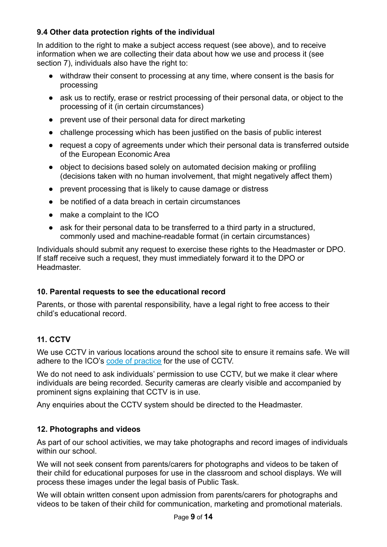# **9.4 Other data protection rights of the individual**

In addition to the right to make a subject access request (see above), and to receive information when we are collecting their data about how we use and process it (see section 7), individuals also have the right to:

- withdraw their consent to processing at any time, where consent is the basis for processing
- ask us to rectify, erase or restrict processing of their personal data, or object to the processing of it (in certain circumstances)
- prevent use of their personal data for direct marketing
- challenge processing which has been justified on the basis of public interest
- request a copy of agreements under which their personal data is transferred outside of the European Economic Area
- object to decisions based solely on automated decision making or profiling (decisions taken with no human involvement, that might negatively affect them)
- prevent processing that is likely to cause damage or distress
- be notified of a data breach in certain circumstances
- make a complaint to the ICO
- ask for their personal data to be transferred to a third party in a structured, commonly used and machine-readable format (in certain circumstances)

Individuals should submit any request to exercise these rights to the Headmaster or DPO. If staff receive such a request, they must immediately forward it to the DPO or **Headmaster** 

# **10. Parental requests to see the educational record**

Parents, or those with parental responsibility, have a legal right to free access to their child's educational record.

# **11. CCTV**

We use CCTV in various locations around the school site to ensure it remains safe. We will adhere to the ICO's [code of practice](https://ico.org.uk/media/for-organisations/documents/1542/cctv-code-of-practice.pdf) for the use of CCTV.

We do not need to ask individuals' permission to use CCTV, but we make it clear where individuals are being recorded. Security cameras are clearly visible and accompanied by prominent signs explaining that CCTV is in use.

Any enquiries about the CCTV system should be directed to the Headmaster.

# **12. Photographs and videos**

As part of our school activities, we may take photographs and record images of individuals within our school.

We will not seek consent from parents/carers for photographs and videos to be taken of their child for educational purposes for use in the classroom and school displays. We will process these images under the legal basis of Public Task.

We will obtain written consent upon admission from parents/carers for photographs and videos to be taken of their child for communication, marketing and promotional materials.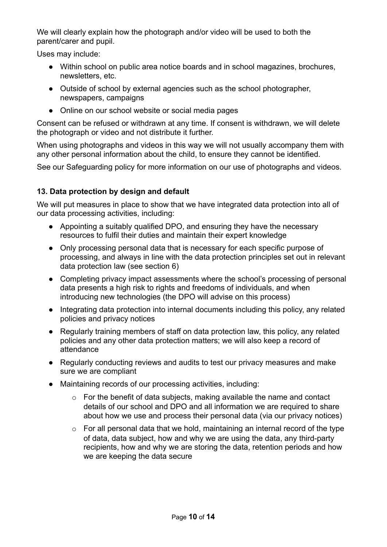We will clearly explain how the photograph and/or video will be used to both the parent/carer and pupil.

Uses may include:

- Within school on public area notice boards and in school magazines, brochures, newsletters, etc.
- Outside of school by external agencies such as the school photographer, newspapers, campaigns
- Online on our school website or social media pages

Consent can be refused or withdrawn at any time. If consent is withdrawn, we will delete the photograph or video and not distribute it further.

When using photographs and videos in this way we will not usually accompany them with any other personal information about the child, to ensure they cannot be identified.

See our Safeguarding policy for more information on our use of photographs and videos.

# **13. Data protection by design and default**

We will put measures in place to show that we have integrated data protection into all of our data processing activities, including:

- Appointing a suitably qualified DPO, and ensuring they have the necessary resources to fulfil their duties and maintain their expert knowledge
- Only processing personal data that is necessary for each specific purpose of processing, and always in line with the data protection principles set out in relevant data protection law (see section 6)
- Completing privacy impact assessments where the school's processing of personal data presents a high risk to rights and freedoms of individuals, and when introducing new technologies (the DPO will advise on this process)
- Integrating data protection into internal documents including this policy, any related policies and privacy notices
- Regularly training members of staff on data protection law, this policy, any related policies and any other data protection matters; we will also keep a record of attendance
- Regularly conducting reviews and audits to test our privacy measures and make sure we are compliant
- Maintaining records of our processing activities, including:
	- o For the benefit of data subjects, making available the name and contact details of our school and DPO and all information we are required to share about how we use and process their personal data (via our privacy notices)
	- $\circ$  For all personal data that we hold, maintaining an internal record of the type of data, data subject, how and why we are using the data, any third-party recipients, how and why we are storing the data, retention periods and how we are keeping the data secure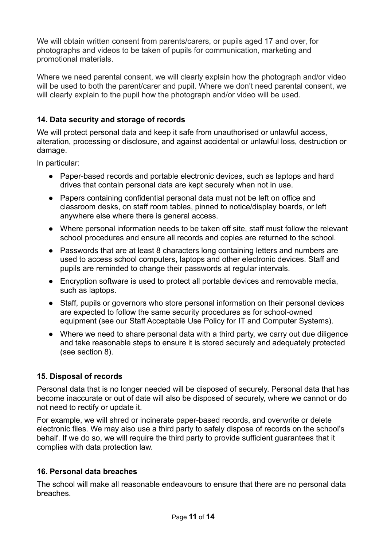We will obtain written consent from parents/carers, or pupils aged 17 and over, for photographs and videos to be taken of pupils for communication, marketing and promotional materials.

Where we need parental consent, we will clearly explain how the photograph and/or video will be used to both the parent/carer and pupil. Where we don't need parental consent, we will clearly explain to the pupil how the photograph and/or video will be used.

# **14. Data security and storage of records**

We will protect personal data and keep it safe from unauthorised or unlawful access, alteration, processing or disclosure, and against accidental or unlawful loss, destruction or damage.

In particular:

- Paper-based records and portable electronic devices, such as laptops and hard drives that contain personal data are kept securely when not in use.
- Papers containing confidential personal data must not be left on office and classroom desks, on staff room tables, pinned to notice/display boards, or left anywhere else where there is general access.
- Where personal information needs to be taken off site, staff must follow the relevant school procedures and ensure all records and copies are returned to the school.
- Passwords that are at least 8 characters long containing letters and numbers are used to access school computers, laptops and other electronic devices. Staff and pupils are reminded to change their passwords at regular intervals.
- Encryption software is used to protect all portable devices and removable media, such as laptops.
- Staff, pupils or governors who store personal information on their personal devices are expected to follow the same security procedures as for school-owned equipment (see our Staff Acceptable Use Policy for IT and Computer Systems).
- Where we need to share personal data with a third party, we carry out due diligence and take reasonable steps to ensure it is stored securely and adequately protected (see section 8).

### **15. Disposal of records**

Personal data that is no longer needed will be disposed of securely. Personal data that has become inaccurate or out of date will also be disposed of securely, where we cannot or do not need to rectify or update it.

For example, we will shred or incinerate paper-based records, and overwrite or delete electronic files. We may also use a third party to safely dispose of records on the school's behalf. If we do so, we will require the third party to provide sufficient guarantees that it complies with data protection law.

### **16. Personal data breaches**

The school will make all reasonable endeavours to ensure that there are no personal data breaches.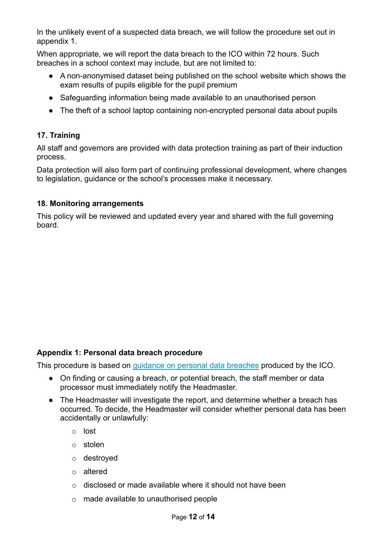In the unlikely event of a suspected data breach, we will follow the procedure set out in appendix 1.

When appropriate, we will report the data breach to the ICO within 72 hours. Such breaches in a school context may include, but are not limited to:

- A non-anonymised dataset being published on the school website which shows the exam results of pupils eligible for the pupil premium
- Safeguarding information being made available to an unauthorised person
- The theft of a school laptop containing non-encrypted personal data about pupils

# **17. Training**

All staff and governors are provided with data protection training as part of their induction process.

Data protection will also form part of continuing professional development, where changes to legislation, guidance or the school's processes make it necessary.

#### **18. Monitoring arrangements**

This policy will be reviewed and updated every year and shared with the full governing board.

### **Appendix 1: Personal data breach procedure**

This procedure is based on [guidance on personal data](https://ico.org.uk/for-organisations/guide-to-the-general-data-protection-regulation-gdpr/personal-data-breaches/) breaches produced by the ICO.

- On finding or causing a breach, or potential breach, the staff member or data processor must immediately notify the Headmaster.
- The Headmaster will investigate the report, and determine whether a breach has occurred. To decide, the Headmaster will consider whether personal data has been accidentally or unlawfully:
	- o lost
	- o stolen
	- o destroyed
	- o altered
	- o disclosed or made available where it should not have been
	- o made available to unauthorised people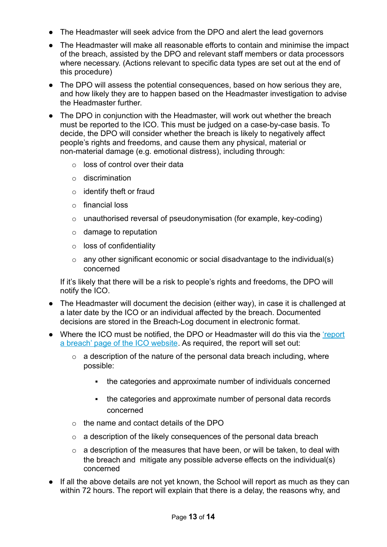- The Headmaster will seek advice from the DPO and alert the lead governors
- The Headmaster will make all reasonable efforts to contain and minimise the impact of the breach, assisted by the DPO and relevant staff members or data processors where necessary. (Actions relevant to specific data types are set out at the end of this procedure)
- The DPO will assess the potential consequences, based on how serious they are, and how likely they are to happen based on the Headmaster investigation to advise the Headmaster further.
- The DPO in conjunction with the Headmaster, will work out whether the breach must be reported to the ICO. This must be judged on a case-by-case basis. To decide, the DPO will consider whether the breach is likely to negatively affect people's rights and freedoms, and cause them any physical, material or non-material damage (e.g. emotional distress), including through:
	- $\circ$  loss of control over their data
	- o discrimination
	- o identify theft or fraud
	- o financial loss
	- o unauthorised reversal of pseudonymisation (for example, key-coding)
	- $\circ$  damage to reputation
	- o loss of confidentiality
	- $\circ$  any other significant economic or social disadvantage to the individual(s) concerned

If it's likely that there will be a risk to people's rights and freedoms, the DPO will notify the ICO.

- The Headmaster will document the decision (either way), in case it is challenged at a later date by the ICO or an individual affected by the breach. Documented decisions are stored in the Breach-Log document in electronic format.
- Where the ICO must be notified, the DPO or Headmaster will do this via the ['report](https://ico.org.uk/for-organisations/report-a-breach/) [a breach' page of the ICO website](https://ico.org.uk/for-organisations/report-a-breach/). As required, the report will set out:
	- $\circ$  a description of the nature of the personal data breach including, where possible:
		- the categories and approximate number of individuals concerned
		- the categories and approximate number of personal data records concerned
	- o the name and contact details of the DPO
	- $\circ$  a description of the likely consequences of the personal data breach
	- $\circ$  a description of the measures that have been, or will be taken, to deal with the breach and mitigate any possible adverse effects on the individual(s) concerned
- If all the above details are not yet known, the School will report as much as they can within 72 hours. The report will explain that there is a delay, the reasons why, and